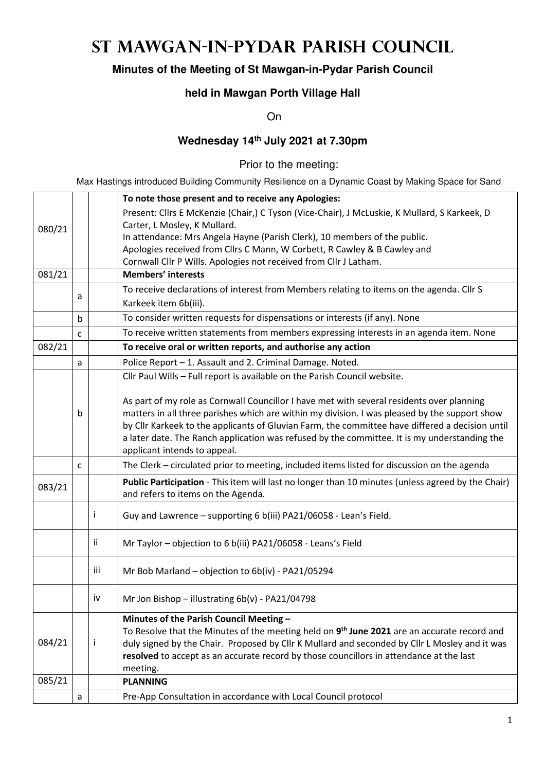# **St Mawgan-in-Pydar Parish Council**

## **Minutes of the Meeting of St Mawgan-in-Pydar Parish Council**

#### **held in Mawgan Porth Village Hall**

On

### **Wednesday 14th July 2021 at 7.30pm**

Prior to the meeting:

Max Hastings introduced Building Community Resilience on a Dynamic Coast by Making Space for Sand

|        |             |     | To note those present and to receive any Apologies:                                                     |  |  |  |
|--------|-------------|-----|---------------------------------------------------------------------------------------------------------|--|--|--|
|        |             |     | Present: Cllrs E McKenzie (Chair,) C Tyson (Vice-Chair), J McLuskie, K Mullard, S Karkeek, D            |  |  |  |
| 080/21 |             |     | Carter, L Mosley, K Mullard.                                                                            |  |  |  |
|        |             |     | In attendance: Mrs Angela Hayne (Parish Clerk), 10 members of the public.                               |  |  |  |
|        |             |     | Apologies received from Cllrs C Mann, W Corbett, R Cawley & B Cawley and                                |  |  |  |
|        |             |     | Cornwall Cllr P Wills. Apologies not received from Cllr J Latham.                                       |  |  |  |
| 081/21 |             |     | <b>Members' interests</b>                                                                               |  |  |  |
|        |             |     | To receive declarations of interest from Members relating to items on the agenda. Cllr S                |  |  |  |
|        | a           |     | Karkeek item 6b(iii).                                                                                   |  |  |  |
|        | $\mathsf b$ |     | To consider written requests for dispensations or interests (if any). None                              |  |  |  |
|        | C           |     | To receive written statements from members expressing interests in an agenda item. None                 |  |  |  |
| 082/21 |             |     | To receive oral or written reports, and authorise any action                                            |  |  |  |
|        | a           |     | Police Report - 1. Assault and 2. Criminal Damage. Noted.                                               |  |  |  |
|        |             |     | Cllr Paul Wills - Full report is available on the Parish Council website.                               |  |  |  |
|        |             |     |                                                                                                         |  |  |  |
|        |             |     | As part of my role as Cornwall Councillor I have met with several residents over planning               |  |  |  |
|        | b           |     | matters in all three parishes which are within my division. I was pleased by the support show           |  |  |  |
|        |             |     | by Cllr Karkeek to the applicants of Gluvian Farm, the committee have differed a decision until         |  |  |  |
|        |             |     | a later date. The Ranch application was refused by the committee. It is my understanding the            |  |  |  |
|        |             |     | applicant intends to appeal.                                                                            |  |  |  |
|        | C           |     | The Clerk - circulated prior to meeting, included items listed for discussion on the agenda             |  |  |  |
|        |             |     | Public Participation - This item will last no longer than 10 minutes (unless agreed by the Chair)       |  |  |  |
| 083/21 |             |     | and refers to items on the Agenda.                                                                      |  |  |  |
|        |             |     |                                                                                                         |  |  |  |
|        |             |     | Guy and Lawrence - supporting 6 b(iii) PA21/06058 - Lean's Field.                                       |  |  |  |
|        |             | ii  | Mr Taylor - objection to 6 b(iii) PA21/06058 - Leans's Field                                            |  |  |  |
|        |             |     |                                                                                                         |  |  |  |
|        |             | iii | Mr Bob Marland - objection to 6b(iv) - PA21/05294                                                       |  |  |  |
|        |             | iv  | Mr Jon Bishop - illustrating 6b(v) - PA21/04798                                                         |  |  |  |
|        |             |     |                                                                                                         |  |  |  |
|        |             |     | Minutes of the Parish Council Meeting -                                                                 |  |  |  |
|        |             |     | To Resolve that the Minutes of the meeting held on 9 <sup>th</sup> June 2021 are an accurate record and |  |  |  |
| 084/21 |             | Ť   | duly signed by the Chair. Proposed by Cllr K Mullard and seconded by Cllr L Mosley and it was           |  |  |  |
|        |             |     | resolved to accept as an accurate record by those councillors in attendance at the last                 |  |  |  |
|        |             |     | meeting.                                                                                                |  |  |  |
| 085/21 |             |     | <b>PLANNING</b>                                                                                         |  |  |  |
|        | a           |     | Pre-App Consultation in accordance with Local Council protocol                                          |  |  |  |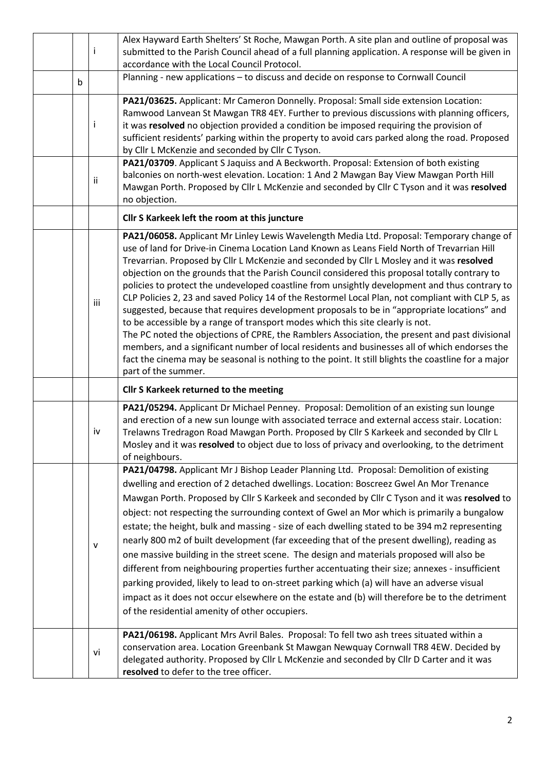|   | $\mathbf{I}$                                  | Alex Hayward Earth Shelters' St Roche, Mawgan Porth. A site plan and outline of proposal was<br>submitted to the Parish Council ahead of a full planning application. A response will be given in<br>accordance with the Local Council Protocol.                                                                                                                                                                                                                                                                                                                                                                                                                                                                                                                                                                                                                                                                                                                                                                                                                                                              |  |  |  |  |  |
|---|-----------------------------------------------|---------------------------------------------------------------------------------------------------------------------------------------------------------------------------------------------------------------------------------------------------------------------------------------------------------------------------------------------------------------------------------------------------------------------------------------------------------------------------------------------------------------------------------------------------------------------------------------------------------------------------------------------------------------------------------------------------------------------------------------------------------------------------------------------------------------------------------------------------------------------------------------------------------------------------------------------------------------------------------------------------------------------------------------------------------------------------------------------------------------|--|--|--|--|--|
| b |                                               | Planning - new applications - to discuss and decide on response to Cornwall Council                                                                                                                                                                                                                                                                                                                                                                                                                                                                                                                                                                                                                                                                                                                                                                                                                                                                                                                                                                                                                           |  |  |  |  |  |
|   | $\mathbf{I}$                                  | PA21/03625. Applicant: Mr Cameron Donnelly. Proposal: Small side extension Location:<br>Ramwood Lanvean St Mawgan TR8 4EY. Further to previous discussions with planning officers,<br>it was resolved no objection provided a condition be imposed requiring the provision of<br>sufficient residents' parking within the property to avoid cars parked along the road. Proposed<br>by Cllr L McKenzie and seconded by Cllr C Tyson.                                                                                                                                                                                                                                                                                                                                                                                                                                                                                                                                                                                                                                                                          |  |  |  |  |  |
|   | ii                                            | PA21/03709. Applicant S Jaquiss and A Beckworth. Proposal: Extension of both existing<br>balconies on north-west elevation. Location: 1 And 2 Mawgan Bay View Mawgan Porth Hill<br>Mawgan Porth. Proposed by Cllr L McKenzie and seconded by Cllr C Tyson and it was resolved<br>no objection.                                                                                                                                                                                                                                                                                                                                                                                                                                                                                                                                                                                                                                                                                                                                                                                                                |  |  |  |  |  |
|   | Cllr S Karkeek left the room at this juncture |                                                                                                                                                                                                                                                                                                                                                                                                                                                                                                                                                                                                                                                                                                                                                                                                                                                                                                                                                                                                                                                                                                               |  |  |  |  |  |
|   | iii                                           | PA21/06058. Applicant Mr Linley Lewis Wavelength Media Ltd. Proposal: Temporary change of<br>use of land for Drive-in Cinema Location Land Known as Leans Field North of Trevarrian Hill<br>Trevarrian. Proposed by Cllr L McKenzie and seconded by Cllr L Mosley and it was resolved<br>objection on the grounds that the Parish Council considered this proposal totally contrary to<br>policies to protect the undeveloped coastline from unsightly development and thus contrary to<br>CLP Policies 2, 23 and saved Policy 14 of the Restormel Local Plan, not compliant with CLP 5, as<br>suggested, because that requires development proposals to be in "appropriate locations" and<br>to be accessible by a range of transport modes which this site clearly is not.<br>The PC noted the objections of CPRE, the Ramblers Association, the present and past divisional<br>members, and a significant number of local residents and businesses all of which endorses the<br>fact the cinema may be seasonal is nothing to the point. It still blights the coastline for a major<br>part of the summer. |  |  |  |  |  |
|   |                                               | Cllr S Karkeek returned to the meeting                                                                                                                                                                                                                                                                                                                                                                                                                                                                                                                                                                                                                                                                                                                                                                                                                                                                                                                                                                                                                                                                        |  |  |  |  |  |
|   | iv                                            | PA21/05294. Applicant Dr Michael Penney. Proposal: Demolition of an existing sun lounge<br>and erection of a new sun lounge with associated terrace and external access stair. Location:<br>Trelawns Tredragon Road Mawgan Porth. Proposed by Cllr S Karkeek and seconded by Cllr L<br>Mosley and it was resolved to object due to loss of privacy and overlooking, to the detriment<br>of neighbours.                                                                                                                                                                                                                                                                                                                                                                                                                                                                                                                                                                                                                                                                                                        |  |  |  |  |  |
|   | v                                             | PA21/04798. Applicant Mr J Bishop Leader Planning Ltd. Proposal: Demolition of existing<br>dwelling and erection of 2 detached dwellings. Location: Boscreez Gwel An Mor Trenance<br>Mawgan Porth. Proposed by Cllr S Karkeek and seconded by Cllr C Tyson and it was resolved to<br>object: not respecting the surrounding context of Gwel an Mor which is primarily a bungalow<br>estate; the height, bulk and massing - size of each dwelling stated to be 394 m2 representing<br>nearly 800 m2 of built development (far exceeding that of the present dwelling), reading as<br>one massive building in the street scene. The design and materials proposed will also be<br>different from neighbouring properties further accentuating their size; annexes - insufficient<br>parking provided, likely to lead to on-street parking which (a) will have an adverse visual<br>impact as it does not occur elsewhere on the estate and (b) will therefore be to the detriment<br>of the residential amenity of other occupiers.                                                                             |  |  |  |  |  |
|   | vi                                            | PA21/06198. Applicant Mrs Avril Bales. Proposal: To fell two ash trees situated within a<br>conservation area. Location Greenbank St Mawgan Newquay Cornwall TR8 4EW. Decided by<br>delegated authority. Proposed by Cllr L McKenzie and seconded by Cllr D Carter and it was                                                                                                                                                                                                                                                                                                                                                                                                                                                                                                                                                                                                                                                                                                                                                                                                                                 |  |  |  |  |  |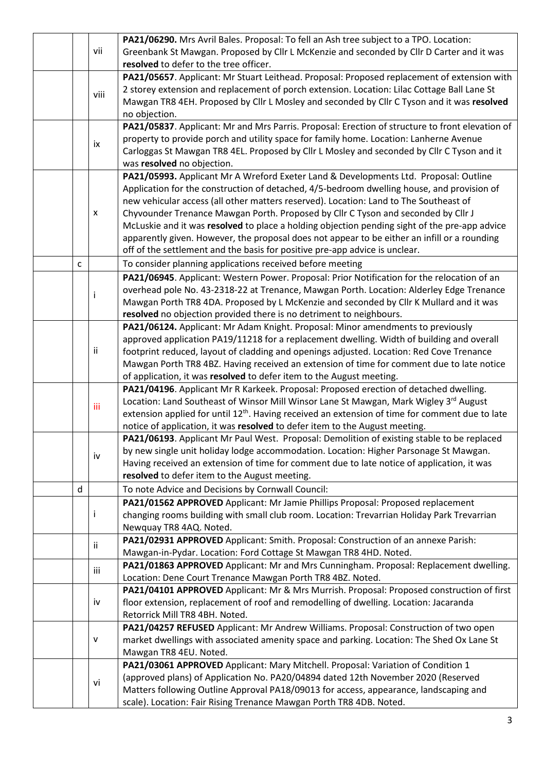|                            |              |                                                                                      | PA21/06290. Mrs Avril Bales. Proposal: To fell an Ash tree subject to a TPO. Location:                      |  |  |  |  |  |
|----------------------------|--------------|--------------------------------------------------------------------------------------|-------------------------------------------------------------------------------------------------------------|--|--|--|--|--|
|                            |              | vii                                                                                  | Greenbank St Mawgan. Proposed by Cllr L McKenzie and seconded by Cllr D Carter and it was                   |  |  |  |  |  |
|                            |              |                                                                                      | resolved to defer to the tree officer.                                                                      |  |  |  |  |  |
|                            |              |                                                                                      | PA21/05657. Applicant: Mr Stuart Leithead. Proposal: Proposed replacement of extension with                 |  |  |  |  |  |
|                            |              |                                                                                      | 2 storey extension and replacement of porch extension. Location: Lilac Cottage Ball Lane St                 |  |  |  |  |  |
|                            |              | viii                                                                                 | Mawgan TR8 4EH. Proposed by Cllr L Mosley and seconded by Cllr C Tyson and it was resolved                  |  |  |  |  |  |
|                            |              |                                                                                      | no objection.                                                                                               |  |  |  |  |  |
|                            |              |                                                                                      | PA21/05837. Applicant: Mr and Mrs Parris. Proposal: Erection of structure to front elevation of             |  |  |  |  |  |
|                            |              |                                                                                      | property to provide porch and utility space for family home. Location: Lanherne Avenue                      |  |  |  |  |  |
|                            |              | ix                                                                                   | Carloggas St Mawgan TR8 4EL. Proposed by Cllr L Mosley and seconded by Cllr C Tyson and it                  |  |  |  |  |  |
| was resolved no objection. |              |                                                                                      |                                                                                                             |  |  |  |  |  |
|                            |              | PA21/05993. Applicant Mr A Wreford Exeter Land & Developments Ltd. Proposal: Outline |                                                                                                             |  |  |  |  |  |
|                            |              |                                                                                      | Application for the construction of detached, 4/5-bedroom dwelling house, and provision of                  |  |  |  |  |  |
|                            |              |                                                                                      | new vehicular access (all other matters reserved). Location: Land to The Southeast of                       |  |  |  |  |  |
|                            |              | X                                                                                    | Chyvounder Trenance Mawgan Porth. Proposed by Cllr C Tyson and seconded by Cllr J                           |  |  |  |  |  |
|                            |              |                                                                                      | McLuskie and it was resolved to place a holding objection pending sight of the pre-app advice               |  |  |  |  |  |
|                            |              |                                                                                      | apparently given. However, the proposal does not appear to be either an infill or a rounding                |  |  |  |  |  |
|                            |              |                                                                                      | off of the settlement and the basis for positive pre-app advice is unclear.                                 |  |  |  |  |  |
|                            | $\mathsf{C}$ |                                                                                      | To consider planning applications received before meeting                                                   |  |  |  |  |  |
|                            |              |                                                                                      | PA21/06945. Applicant: Western Power. Proposal: Prior Notification for the relocation of an                 |  |  |  |  |  |
|                            |              |                                                                                      | overhead pole No. 43-2318-22 at Trenance, Mawgan Porth. Location: Alderley Edge Trenance                    |  |  |  |  |  |
|                            |              | Ť                                                                                    | Mawgan Porth TR8 4DA. Proposed by L McKenzie and seconded by Cllr K Mullard and it was                      |  |  |  |  |  |
|                            |              |                                                                                      | resolved no objection provided there is no detriment to neighbours.                                         |  |  |  |  |  |
|                            |              |                                                                                      | PA21/06124. Applicant: Mr Adam Knight. Proposal: Minor amendments to previously                             |  |  |  |  |  |
|                            |              |                                                                                      | approved application PA19/11218 for a replacement dwelling. Width of building and overall                   |  |  |  |  |  |
|                            |              | ij.                                                                                  | footprint reduced, layout of cladding and openings adjusted. Location: Red Cove Trenance                    |  |  |  |  |  |
|                            |              |                                                                                      | Mawgan Porth TR8 4BZ. Having received an extension of time for comment due to late notice                   |  |  |  |  |  |
|                            |              |                                                                                      | of application, it was resolved to defer item to the August meeting.                                        |  |  |  |  |  |
|                            |              |                                                                                      | PA21/04196. Applicant Mr R Karkeek. Proposal: Proposed erection of detached dwelling.                       |  |  |  |  |  |
|                            |              | iii.                                                                                 | Location: Land Southeast of Winsor Mill Winsor Lane St Mawgan, Mark Wigley 3rd August                       |  |  |  |  |  |
|                            |              |                                                                                      | extension applied for until 12 <sup>th</sup> . Having received an extension of time for comment due to late |  |  |  |  |  |
|                            |              |                                                                                      | notice of application, it was resolved to defer item to the August meeting.                                 |  |  |  |  |  |
|                            |              |                                                                                      | PA21/06193. Applicant Mr Paul West. Proposal: Demolition of existing stable to be replaced                  |  |  |  |  |  |
|                            |              | iv                                                                                   | by new single unit holiday lodge accommodation. Location: Higher Parsonage St Mawgan.                       |  |  |  |  |  |
|                            |              |                                                                                      | Having received an extension of time for comment due to late notice of application, it was                  |  |  |  |  |  |
|                            |              |                                                                                      | resolved to defer item to the August meeting.                                                               |  |  |  |  |  |
|                            | $\sf d$      |                                                                                      | To note Advice and Decisions by Cornwall Council:                                                           |  |  |  |  |  |
|                            |              |                                                                                      | PA21/01562 APPROVED Applicant: Mr Jamie Phillips Proposal: Proposed replacement                             |  |  |  |  |  |
|                            |              | Ť                                                                                    | changing rooms building with small club room. Location: Trevarrian Holiday Park Trevarrian                  |  |  |  |  |  |
|                            |              |                                                                                      | Newquay TR8 4AQ. Noted.                                                                                     |  |  |  |  |  |
|                            |              |                                                                                      | PA21/02931 APPROVED Applicant: Smith. Proposal: Construction of an annexe Parish:                           |  |  |  |  |  |
|                            |              | Ϊİ                                                                                   | Mawgan-in-Pydar. Location: Ford Cottage St Mawgan TR8 4HD. Noted.                                           |  |  |  |  |  |
|                            |              | iii                                                                                  | PA21/01863 APPROVED Applicant: Mr and Mrs Cunningham. Proposal: Replacement dwelling.                       |  |  |  |  |  |
|                            |              |                                                                                      | Location: Dene Court Trenance Mawgan Porth TR8 4BZ. Noted.                                                  |  |  |  |  |  |
|                            |              |                                                                                      | PA21/04101 APPROVED Applicant: Mr & Mrs Murrish. Proposal: Proposed construction of first                   |  |  |  |  |  |
|                            |              | iv                                                                                   | floor extension, replacement of roof and remodelling of dwelling. Location: Jacaranda                       |  |  |  |  |  |
|                            |              |                                                                                      | Retorrick Mill TR8 4BH. Noted.                                                                              |  |  |  |  |  |
|                            |              |                                                                                      | PA21/04257 REFUSED Applicant: Mr Andrew Williams. Proposal: Construction of two open                        |  |  |  |  |  |
|                            |              | v                                                                                    | market dwellings with associated amenity space and parking. Location: The Shed Ox Lane St                   |  |  |  |  |  |
|                            |              |                                                                                      | Mawgan TR8 4EU. Noted.                                                                                      |  |  |  |  |  |
|                            |              |                                                                                      | PA21/03061 APPROVED Applicant: Mary Mitchell. Proposal: Variation of Condition 1                            |  |  |  |  |  |
|                            |              | vi                                                                                   | (approved plans) of Application No. PA20/04894 dated 12th November 2020 (Reserved                           |  |  |  |  |  |
|                            |              |                                                                                      | Matters following Outline Approval PA18/09013 for access, appearance, landscaping and                       |  |  |  |  |  |
|                            |              |                                                                                      | scale). Location: Fair Rising Trenance Mawgan Porth TR8 4DB. Noted.                                         |  |  |  |  |  |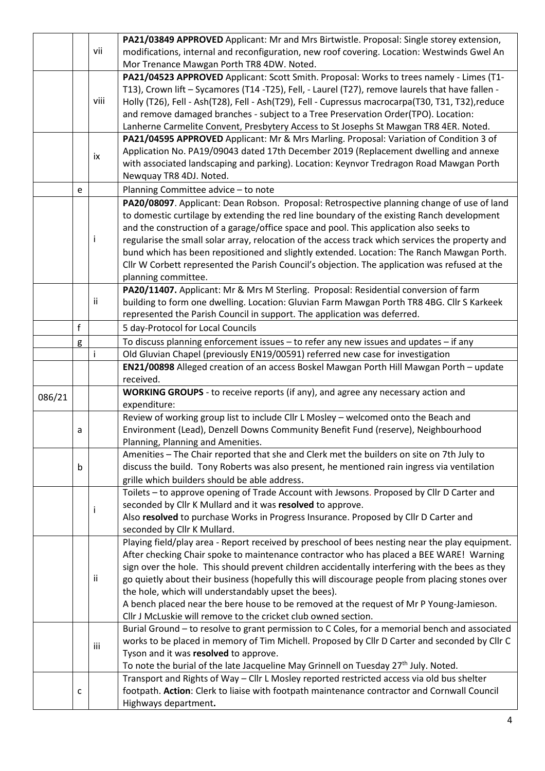|        |   |      | PA21/03849 APPROVED Applicant: Mr and Mrs Birtwistle. Proposal: Single storey extension,                                                                                                  |  |  |  |  |
|--------|---|------|-------------------------------------------------------------------------------------------------------------------------------------------------------------------------------------------|--|--|--|--|
|        |   | vii  | modifications, internal and reconfiguration, new roof covering. Location: Westwinds Gwel An                                                                                               |  |  |  |  |
|        |   |      | Mor Trenance Mawgan Porth TR8 4DW. Noted.                                                                                                                                                 |  |  |  |  |
|        |   |      | PA21/04523 APPROVED Applicant: Scott Smith. Proposal: Works to trees namely - Limes (T1-                                                                                                  |  |  |  |  |
|        |   |      | T13), Crown lift - Sycamores (T14 -T25), Fell, - Laurel (T27), remove laurels that have fallen -                                                                                          |  |  |  |  |
|        |   | viii | Holly (T26), Fell - Ash(T28), Fell - Ash(T29), Fell - Cupressus macrocarpa(T30, T31, T32),reduce                                                                                          |  |  |  |  |
|        |   |      | and remove damaged branches - subject to a Tree Preservation Order(TPO). Location:                                                                                                        |  |  |  |  |
|        |   |      | Lanherne Carmelite Convent, Presbytery Access to St Josephs St Mawgan TR8 4ER. Noted.                                                                                                     |  |  |  |  |
|        |   |      | PA21/04595 APPROVED Applicant: Mr & Mrs Marling. Proposal: Variation of Condition 3 of                                                                                                    |  |  |  |  |
|        |   |      | Application No. PA19/09043 dated 17th December 2019 (Replacement dwelling and annexe                                                                                                      |  |  |  |  |
|        |   | ix   | with associated landscaping and parking). Location: Keynvor Tredragon Road Mawgan Porth                                                                                                   |  |  |  |  |
|        |   |      | Newquay TR8 4DJ. Noted.                                                                                                                                                                   |  |  |  |  |
|        | e |      | Planning Committee advice - to note                                                                                                                                                       |  |  |  |  |
|        |   |      | PA20/08097. Applicant: Dean Robson. Proposal: Retrospective planning change of use of land                                                                                                |  |  |  |  |
|        |   |      | to domestic curtilage by extending the red line boundary of the existing Ranch development                                                                                                |  |  |  |  |
|        |   |      |                                                                                                                                                                                           |  |  |  |  |
|        |   |      | and the construction of a garage/office space and pool. This application also seeks to                                                                                                    |  |  |  |  |
|        |   | T    | regularise the small solar array, relocation of the access track which services the property and                                                                                          |  |  |  |  |
|        |   |      | bund which has been repositioned and slightly extended. Location: The Ranch Mawgan Porth.                                                                                                 |  |  |  |  |
|        |   |      | Cllr W Corbett represented the Parish Council's objection. The application was refused at the                                                                                             |  |  |  |  |
|        |   |      | planning committee.                                                                                                                                                                       |  |  |  |  |
|        |   |      | PA20/11407. Applicant: Mr & Mrs M Sterling. Proposal: Residential conversion of farm                                                                                                      |  |  |  |  |
|        |   | ij.  | building to form one dwelling. Location: Gluvian Farm Mawgan Porth TR8 4BG. Cllr S Karkeek                                                                                                |  |  |  |  |
|        |   |      | represented the Parish Council in support. The application was deferred.                                                                                                                  |  |  |  |  |
|        | f |      | 5 day-Protocol for Local Councils                                                                                                                                                         |  |  |  |  |
|        | g |      | To discuss planning enforcement issues - to refer any new issues and updates - if any                                                                                                     |  |  |  |  |
|        |   | Ť    | Old Gluvian Chapel (previously EN19/00591) referred new case for investigation                                                                                                            |  |  |  |  |
|        |   |      | EN21/00898 Alleged creation of an access Boskel Mawgan Porth Hill Mawgan Porth - update                                                                                                   |  |  |  |  |
|        |   |      | received.                                                                                                                                                                                 |  |  |  |  |
| 086/21 |   |      | <b>WORKING GROUPS</b> - to receive reports (if any), and agree any necessary action and                                                                                                   |  |  |  |  |
|        |   |      | expenditure:                                                                                                                                                                              |  |  |  |  |
|        |   |      | Review of working group list to include Cllr L Mosley - welcomed onto the Beach and                                                                                                       |  |  |  |  |
|        | a |      | Environment (Lead), Denzell Downs Community Benefit Fund (reserve), Neighbourhood                                                                                                         |  |  |  |  |
|        |   |      | Planning, Planning and Amenities.                                                                                                                                                         |  |  |  |  |
|        |   |      | Amenities - The Chair reported that she and Clerk met the builders on site on 7th July to                                                                                                 |  |  |  |  |
|        | b |      | discuss the build. Tony Roberts was also present, he mentioned rain ingress via ventilation                                                                                               |  |  |  |  |
|        |   |      | grille which builders should be able address.                                                                                                                                             |  |  |  |  |
|        |   |      | Toilets - to approve opening of Trade Account with Jewsons. Proposed by Cllr D Carter and                                                                                                 |  |  |  |  |
|        |   |      | seconded by Cllr K Mullard and it was resolved to approve.                                                                                                                                |  |  |  |  |
|        |   | Ť    | Also resolved to purchase Works in Progress Insurance. Proposed by Cllr D Carter and                                                                                                      |  |  |  |  |
|        |   |      | seconded by Cllr K Mullard.                                                                                                                                                               |  |  |  |  |
|        |   |      | Playing field/play area - Report received by preschool of bees nesting near the play equipment.                                                                                           |  |  |  |  |
|        |   |      | After checking Chair spoke to maintenance contractor who has placed a BEE WARE! Warning                                                                                                   |  |  |  |  |
|        |   |      | sign over the hole. This should prevent children accidentally interfering with the bees as they                                                                                           |  |  |  |  |
|        |   | jj.  | go quietly about their business (hopefully this will discourage people from placing stones over                                                                                           |  |  |  |  |
|        |   |      | the hole, which will understandably upset the bees).                                                                                                                                      |  |  |  |  |
|        |   |      | A bench placed near the bere house to be removed at the request of Mr P Young-Jamieson.                                                                                                   |  |  |  |  |
|        |   |      | Cllr J McLuskie will remove to the cricket club owned section.                                                                                                                            |  |  |  |  |
|        |   |      | Burial Ground - to resolve to grant permission to C Coles, for a memorial bench and associated                                                                                            |  |  |  |  |
|        |   |      | works to be placed in memory of Tim Michell. Proposed by Cllr D Carter and seconded by Cllr C                                                                                             |  |  |  |  |
|        |   | iii  |                                                                                                                                                                                           |  |  |  |  |
|        |   |      |                                                                                                                                                                                           |  |  |  |  |
|        |   |      | Tyson and it was resolved to approve.                                                                                                                                                     |  |  |  |  |
|        |   |      | To note the burial of the late Jacqueline May Grinnell on Tuesday 27 <sup>th</sup> July. Noted.                                                                                           |  |  |  |  |
|        | c |      | Transport and Rights of Way - Cllr L Mosley reported restricted access via old bus shelter<br>footpath. Action: Clerk to liaise with footpath maintenance contractor and Cornwall Council |  |  |  |  |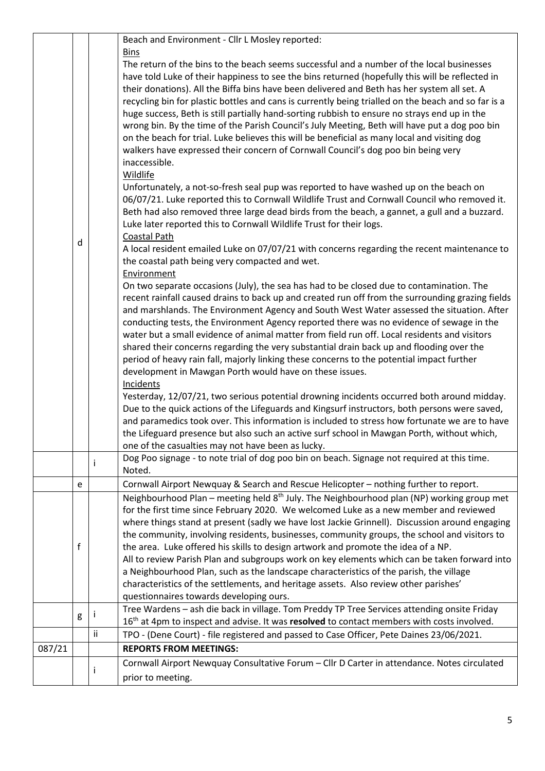|        |   |    | Beach and Environment - Cllr L Mosley reported:                                                        |
|--------|---|----|--------------------------------------------------------------------------------------------------------|
|        |   |    | <b>Bins</b>                                                                                            |
|        |   |    | The return of the bins to the beach seems successful and a number of the local businesses              |
|        |   |    | have told Luke of their happiness to see the bins returned (hopefully this will be reflected in        |
|        |   |    | their donations). All the Biffa bins have been delivered and Beth has her system all set. A            |
|        |   |    | recycling bin for plastic bottles and cans is currently being trialled on the beach and so far is a    |
|        |   |    | huge success, Beth is still partially hand-sorting rubbish to ensure no strays end up in the           |
|        |   |    | wrong bin. By the time of the Parish Council's July Meeting, Beth will have put a dog poo bin          |
|        |   |    | on the beach for trial. Luke believes this will be beneficial as many local and visiting dog           |
|        |   |    | walkers have expressed their concern of Cornwall Council's dog poo bin being very                      |
|        |   |    | inaccessible.                                                                                          |
|        |   |    | <b>Wildlife</b>                                                                                        |
|        |   |    | Unfortunately, a not-so-fresh seal pup was reported to have washed up on the beach on                  |
|        |   |    | 06/07/21. Luke reported this to Cornwall Wildlife Trust and Cornwall Council who removed it.           |
|        |   |    | Beth had also removed three large dead birds from the beach, a gannet, a gull and a buzzard.           |
|        |   |    | Luke later reported this to Cornwall Wildlife Trust for their logs.                                    |
|        |   |    | Coastal Path                                                                                           |
|        | d |    | A local resident emailed Luke on 07/07/21 with concerns regarding the recent maintenance to            |
|        |   |    | the coastal path being very compacted and wet.                                                         |
|        |   |    | Environment                                                                                            |
|        |   |    | On two separate occasions (July), the sea has had to be closed due to contamination. The               |
|        |   |    | recent rainfall caused drains to back up and created run off from the surrounding grazing fields       |
|        |   |    | and marshlands. The Environment Agency and South West Water assessed the situation. After              |
|        |   |    | conducting tests, the Environment Agency reported there was no evidence of sewage in the               |
|        |   |    | water but a small evidence of animal matter from field run off. Local residents and visitors           |
|        |   |    | shared their concerns regarding the very substantial drain back up and flooding over the               |
|        |   |    | period of heavy rain fall, majorly linking these concerns to the potential impact further              |
|        |   |    | development in Mawgan Porth would have on these issues.                                                |
|        |   |    | Incidents                                                                                              |
|        |   |    | Yesterday, 12/07/21, two serious potential drowning incidents occurred both around midday.             |
|        |   |    | Due to the quick actions of the Lifeguards and Kingsurf instructors, both persons were saved,          |
|        |   |    | and paramedics took over. This information is included to stress how fortunate we are to have          |
|        |   |    | the Lifeguard presence but also such an active surf school in Mawgan Porth, without which,             |
|        |   |    | one of the casualties may not have been as lucky.                                                      |
|        |   | Ť  | Dog Poo signage - to note trial of dog poo bin on beach. Signage not required at this time.            |
|        |   |    | Noted.                                                                                                 |
|        | e |    | Cornwall Airport Newquay & Search and Rescue Helicopter - nothing further to report.                   |
|        |   |    | Neighbourhood Plan – meeting held $8th$ July. The Neighbourhood plan (NP) working group met            |
|        |   |    | for the first time since February 2020. We welcomed Luke as a new member and reviewed                  |
|        |   |    | where things stand at present (sadly we have lost Jackie Grinnell). Discussion around engaging         |
|        |   |    | the community, involving residents, businesses, community groups, the school and visitors to           |
|        | f |    | the area. Luke offered his skills to design artwork and promote the idea of a NP.                      |
|        |   |    | All to review Parish Plan and subgroups work on key elements which can be taken forward into           |
|        |   |    | a Neighbourhood Plan, such as the landscape characteristics of the parish, the village                 |
|        |   |    | characteristics of the settlements, and heritage assets. Also review other parishes'                   |
|        |   |    | questionnaires towards developing ours.                                                                |
|        | g |    | Tree Wardens - ash die back in village. Tom Preddy TP Tree Services attending onsite Friday            |
|        |   |    | 16 <sup>th</sup> at 4pm to inspect and advise. It was resolved to contact members with costs involved. |
|        |   | ii | TPO - (Dene Court) - file registered and passed to Case Officer, Pete Daines 23/06/2021.               |
| 087/21 |   |    | <b>REPORTS FROM MEETINGS:</b>                                                                          |
|        |   | Ť  | Cornwall Airport Newquay Consultative Forum - Cllr D Carter in attendance. Notes circulated            |
|        |   |    | prior to meeting.                                                                                      |